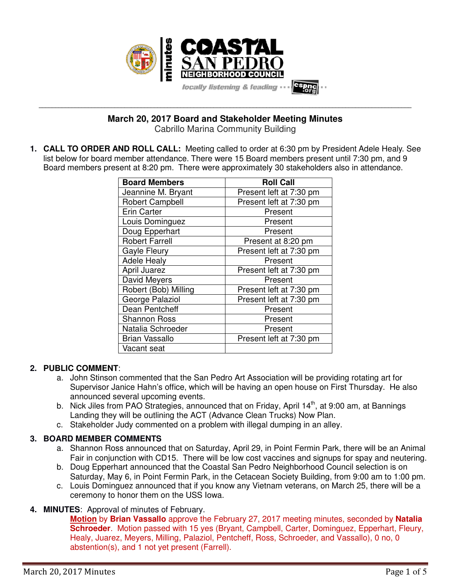

**\_\_\_\_\_\_\_\_\_\_\_\_\_\_\_\_\_\_\_\_\_\_\_\_\_\_\_\_\_\_\_\_\_\_\_\_\_\_\_\_\_\_\_\_\_\_\_\_\_\_\_\_\_\_\_\_\_\_\_\_\_\_\_\_\_\_\_\_\_\_\_\_\_\_\_\_\_\_\_\_\_\_\_\_\_\_\_\_\_\_\_\_\_\_\_\_\_\_\_\_\_\_\_\_\_\_\_\_\_\_\_\_\_ March 20, 2017 Board and Stakeholder Meeting Minutes**

Cabrillo Marina Community Building

**1. CALL TO ORDER AND ROLL CALL:** Meeting called to order at 6:30 pm by President Adele Healy. See list below for board member attendance. There were 15 Board members present until 7:30 pm, and 9 Board members present at 8:20 pm. There were approximately 30 stakeholders also in attendance.

| <b>Board Members</b>   | <b>Roll Call</b>        |
|------------------------|-------------------------|
| Jeannine M. Bryant     | Present left at 7:30 pm |
| <b>Robert Campbell</b> | Present left at 7:30 pm |
| <b>Erin Carter</b>     | Present                 |
| Louis Dominguez        | Present                 |
| Doug Epperhart         | Present                 |
| <b>Robert Farrell</b>  | Present at 8:20 pm      |
| Gayle Fleury           | Present left at 7:30 pm |
| <b>Adele Healy</b>     | Present                 |
| April Juarez           | Present left at 7:30 pm |
| David Meyers           | Present                 |
| Robert (Bob) Milling   | Present left at 7:30 pm |
| George Palaziol        | Present left at 7:30 pm |
| Dean Pentcheff         | Present                 |
| <b>Shannon Ross</b>    | Present                 |
| Natalia Schroeder      | Present                 |
| <b>Brian Vassallo</b>  | Present left at 7:30 pm |
| Vacant seat            |                         |

## **2. PUBLIC COMMENT**:

- a. John Stinson commented that the San Pedro Art Association will be providing rotating art for Supervisor Janice Hahn's office, which will be having an open house on First Thursday. He also announced several upcoming events.
- b. Nick Jiles from PAO Strategies, announced that on Friday, April 14<sup>th</sup>, at 9:00 am, at Bannings Landing they will be outlining the ACT (Advance Clean Trucks) Now Plan.
- c. Stakeholder Judy commented on a problem with illegal dumping in an alley.

## **3. BOARD MEMBER COMMENTS**

- a. Shannon Ross announced that on Saturday, April 29, in Point Fermin Park, there will be an Animal Fair in conjunction with CD15. There will be low cost vaccines and signups for spay and neutering.
- b. Doug Epperhart announced that the Coastal San Pedro Neighborhood Council selection is on Saturday, May 6, in Point Fermin Park, in the Cetacean Society Building, from 9:00 am to 1:00 pm.
- c. Louis Dominguez announced that if you know any Vietnam veterans, on March 25, there will be a ceremony to honor them on the USS Iowa.

# **4. MINUTES**: Approval of minutes of February.

**Motion** by **Brian Vassallo** approve the February 27, 2017 meeting minutes, seconded by **Natalia Schroeder**. Motion passed with 15 yes (Bryant, Campbell, Carter, Dominguez, Epperhart, Fleury, Healy, Juarez, Meyers, Milling, Palaziol, Pentcheff, Ross, Schroeder, and Vassallo), 0 no, 0 abstention(s), and 1 not yet present (Farrell).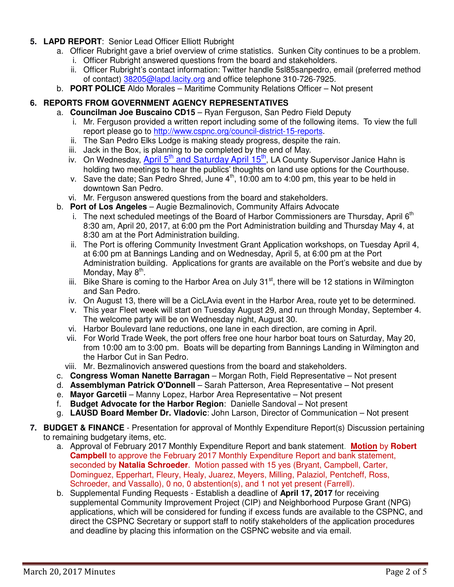### **5. LAPD REPORT**: Senior Lead Officer Elliott Rubright

- a. Officer Rubright gave a brief overview of crime statistics. Sunken City continues to be a problem.
	- i. Officer Rubright answered questions from the board and stakeholders.
	- ii. Officer Rubright's contact information: Twitter handle 5sl85sanpedro, email (preferred method of contact) 38205@lapd.lacity.org and office telephone 310-726-7925.
- b. **PORT POLICE** Aldo Morales Maritime Community Relations Officer Not present

### **6. REPORTS FROM GOVERNMENT AGENCY REPRESENTATIVES**

- a. **Councilman Joe Buscaino CD15** Ryan Ferguson, San Pedro Field Deputy
	- i. Mr. Ferguson provided a written report including some of the following items. To view the full report please go to http://www.cspnc.org/council-district-15-reports.
	- ii. The San Pedro Elks Lodge is making steady progress, despite the rain.
	- iii. Jack in the Box, is planning to be completed by the end of May.
	- iv. On Wednesday, April 5<sup>th</sup> and Saturday April 15<sup>th</sup>, LA County Supervisor Janice Hahn is holding two meetings to hear the publics' thoughts on land use options for the Courthouse.
	- v. Save the date; San Pedro Shred, June  $4<sup>th</sup>$ , 10:00 am to 4:00 pm, this year to be held in downtown San Pedro.
	- vi. Mr. Ferguson answered questions from the board and stakeholders.
- b. **Port of Los Angeles** Augie Bezmalinovich, Community Affairs Advocate
	- i. The next scheduled meetings of the Board of Harbor Commissioners are Thursday, April  $6<sup>th</sup>$ 8:30 am, April 20, 2017, at 6:00 pm the Port Administration building and Thursday May 4, at 8:30 am at the Port Administration building.
	- ii. The Port is offering Community Investment Grant Application workshops, on Tuesday April 4, at 6:00 pm at Bannings Landing and on Wednesday, April 5, at 6:00 pm at the Port Administration building. Applications for grants are available on the Port's website and due by Monday, May 8<sup>th</sup>.
	- iii. Bike Share is coming to the Harbor Area on July  $31<sup>st</sup>$ , there will be 12 stations in Wilmington and San Pedro.
	- iv. On August 13, there will be a CicLAvia event in the Harbor Area, route yet to be determined.
	- v. This year Fleet week will start on Tuesday August 29, and run through Monday, September 4. The welcome party will be on Wednesday night, August 30.
	- vi. Harbor Boulevard lane reductions, one lane in each direction, are coming in April.
	- vii. For World Trade Week, the port offers free one hour harbor boat tours on Saturday, May 20, from 10:00 am to 3:00 pm. Boats will be departing from Bannings Landing in Wilmington and the Harbor Cut in San Pedro.
	- viii. Mr. Bezmalinovich answered questions from the board and stakeholders.
- c. **Congress Woman Nanette Barragan** Morgan Roth, Field Representative Not present
- d. **Assemblyman Patrick O'Donnell** Sarah Patterson, Area Representative Not present
- e. **Mayor Garcetii** Manny Lopez, Harbor Area Representative Not present
- f. **Budget Advocate for the Harbor Region**: Danielle Sandoval Not present
- g. **LAUSD Board Member Dr. Vladovic**: John Larson, Director of Communication Not present

### **7. BUDGET & FINANCE** - Presentation for approval of Monthly Expenditure Report(s) Discussion pertaining to remaining budgetary items, etc.

- a. Approval of February 2017 Monthly Expenditure Report and bank statement. **Motion** by **Robert Campbell** to approve the February 2017 Monthly Expenditure Report and bank statement, seconded by **Natalia Schroeder**. Motion passed with 15 yes (Bryant, Campbell, Carter, Dominguez, Epperhart, Fleury, Healy, Juarez, Meyers, Milling, Palaziol, Pentcheff, Ross, Schroeder, and Vassallo), 0 no, 0 abstention(s), and 1 not yet present (Farrell).
- b. Supplemental Funding Requests Establish a deadline of **April 17, 2017** for receiving supplemental Community Improvement Project (CIP) and Neighborhood Purpose Grant (NPG) applications, which will be considered for funding if excess funds are available to the CSPNC, and direct the CSPNC Secretary or support staff to notify stakeholders of the application procedures and deadline by placing this information on the CSPNC website and via email.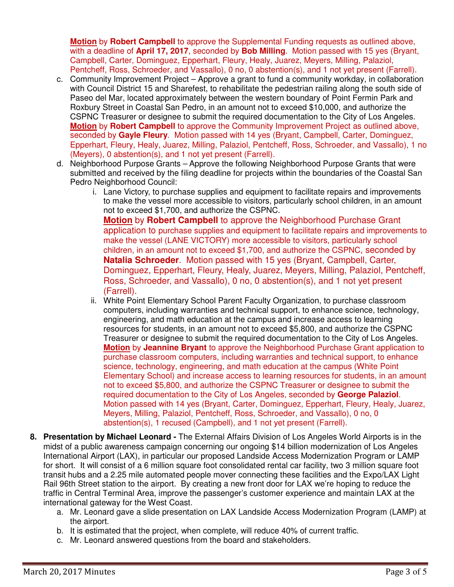**Motion** by **Robert Campbell** to approve the Supplemental Funding requests as outlined above, with a deadline of **April 17, 2017**, seconded by **Bob Milling**. Motion passed with 15 yes (Bryant, Campbell, Carter, Dominguez, Epperhart, Fleury, Healy, Juarez, Meyers, Milling, Palaziol, Pentcheff, Ross, Schroeder, and Vassallo), 0 no, 0 abstention(s), and 1 not yet present (Farrell).

- c. Community Improvement Project Approve a grant to fund a community workday, in collaboration with Council District 15 and Sharefest, to rehabilitate the pedestrian railing along the south side of Paseo del Mar, located approximately between the western boundary of Point Fermin Park and Roxbury Street in Coastal San Pedro, in an amount not to exceed \$10,000, and authorize the CSPNC Treasurer or designee to submit the required documentation to the City of Los Angeles. **Motion** by **Robert Campbell** to approve the Community Improvement Project as outlined above, seconded by **Gayle Fleury**. Motion passed with 14 yes (Bryant, Campbell, Carter, Dominguez, Epperhart, Fleury, Healy, Juarez, Milling, Palaziol, Pentcheff, Ross, Schroeder, and Vassallo), 1 no (Meyers), 0 abstention(s), and 1 not yet present (Farrell).
- d. Neighborhood Purpose Grants Approve the following Neighborhood Purpose Grants that were submitted and received by the filing deadline for projects within the boundaries of the Coastal San Pedro Neighborhood Council:
	- i. Lane Victory, to purchase supplies and equipment to facilitate repairs and improvements to make the vessel more accessible to visitors, particularly school children, in an amount not to exceed \$1,700, and authorize the CSPNC.

**Motion** by **Robert Campbell** to approve the Neighborhood Purchase Grant application to purchase supplies and equipment to facilitate repairs and improvements to make the vessel (LANE VICTORY) more accessible to visitors, particularly school children, in an amount not to exceed \$1,700, and authorize the CSPNC, seconded by **Natalia Schroeder**. Motion passed with 15 yes (Bryant, Campbell, Carter, Dominguez, Epperhart, Fleury, Healy, Juarez, Meyers, Milling, Palaziol, Pentcheff, Ross, Schroeder, and Vassallo), 0 no, 0 abstention(s), and 1 not yet present (Farrell).

- ii. White Point Elementary School Parent Faculty Organization, to purchase classroom computers, including warranties and technical support, to enhance science, technology, engineering, and math education at the campus and increase access to learning resources for students, in an amount not to exceed \$5,800, and authorize the CSPNC Treasurer or designee to submit the required documentation to the City of Los Angeles. **Motion** by **Jeannine Bryant** to approve the Neighborhood Purchase Grant application to purchase classroom computers, including warranties and technical support, to enhance science, technology, engineering, and math education at the campus (White Point Elementary School) and increase access to learning resources for students, in an amount not to exceed \$5,800, and authorize the CSPNC Treasurer or designee to submit the required documentation to the City of Los Angeles, seconded by **George Palaziol**. Motion passed with 14 yes (Bryant, Carter, Dominguez, Epperhart, Fleury, Healy, Juarez, Meyers, Milling, Palaziol, Pentcheff, Ross, Schroeder, and Vassallo), 0 no, 0 abstention(s), 1 recused (Campbell), and 1 not yet present (Farrell).
- **8. Presentation by Michael Leonard** The External Affairs Division of Los Angeles World Airports is in the midst of a public awareness campaign concerning our ongoing \$14 billion modernization of Los Angeles International Airport (LAX), in particular our proposed Landside Access Modernization Program or LAMP for short. It will consist of a 6 million square foot consolidated rental car facility, two 3 million square foot transit hubs and a 2.25 mile automated people mover connecting these facilities and the Expo/LAX Light Rail 96th Street station to the airport. By creating a new front door for LAX we're hoping to reduce the traffic in Central Terminal Area, improve the passenger's customer experience and maintain LAX at the international gateway for the West Coast.
	- a. Mr. Leonard gave a slide presentation on LAX Landside Access Modernization Program (LAMP) at the airport.
	- b. It is estimated that the project, when complete, will reduce 40% of current traffic.
	- c. Mr. Leonard answered questions from the board and stakeholders.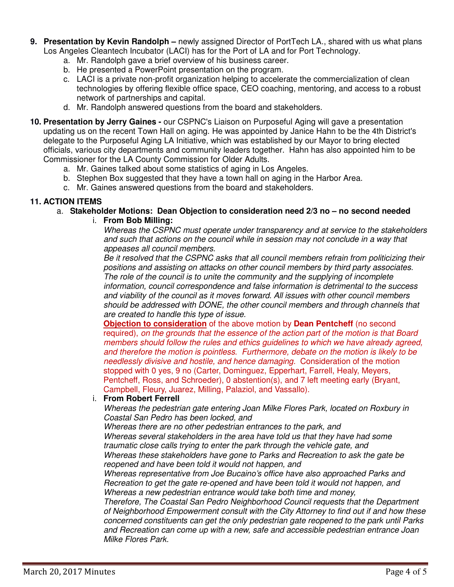- **9. Presentation by Kevin Randolph** newly assigned Director of PortTech LA., shared with us what plans Los Angeles Cleantech Incubator (LACI) has for the Port of LA and for Port Technology.
	- a. Mr. Randolph gave a brief overview of his business career.
	- b. He presented a PowerPoint presentation on the program.
	- c. LACI is a private non-profit organization helping to accelerate the commercialization of clean technologies by offering flexible office space, CEO coaching, mentoring, and access to a robust network of partnerships and capital.
	- d. Mr. Randolph answered questions from the board and stakeholders.
- **10. Presentation by Jerry Gaines -** our CSPNC's Liaison on Purposeful Aging will gave a presentation updating us on the recent Town Hall on aging. He was appointed by Janice Hahn to be the 4th District's delegate to the Purposeful Aging LA Initiative, which was established by our Mayor to bring elected officials, various city departments and community leaders together. Hahn has also appointed him to be Commissioner for the LA County Commission for Older Adults.
	- a. Mr. Gaines talked about some statistics of aging in Los Angeles.
	- b. Stephen Box suggested that they have a town hall on aging in the Harbor Area.
	- c. Mr. Gaines answered questions from the board and stakeholders.

### **11. ACTION ITEMS**

- a. **Stakeholder Motions: Dean Objection to consideration need 2/3 no no second needed** 
	- i. **From Bob Milling:**

Whereas the CSPNC must operate under transparency and at service to the stakeholders and such that actions on the council while in session may not conclude in a way that appeases all council members.

Be it resolved that the CSPNC asks that all council members refrain from politicizing their positions and assisting on attacks on other council members by third party associates. The role of the council is to unite the community and the supplying of incomplete information, council correspondence and false information is detrimental to the success and viability of the council as it moves forward. All issues with other council members should be addressed with DONE, the other council members and through channels that are created to handle this type of issue.

**Objection to consideration** of the above motion by **Dean Pentcheff** (no second required), on the grounds that the essence of the action part of the motion is that Board members should follow the rules and ethics guidelines to which we have already agreed, and therefore the motion is pointless. Furthermore, debate on the motion is likely to be needlessly divisive and hostile, and hence damaging. Consideration of the motion stopped with 0 yes, 9 no (Carter, Dominguez, Epperhart, Farrell, Healy, Meyers, Pentcheff, Ross, and Schroeder), 0 abstention(s), and 7 left meeting early (Bryant, Campbell, Fleury, Juarez, Milling, Palaziol, and Vassallo).

### i. **From Robert Ferrell**

Whereas the pedestrian gate entering Joan Milke Flores Park, located on Roxbury in Coastal San Pedro has been locked, and

Whereas there are no other pedestrian entrances to the park, and Whereas several stakeholders in the area have told us that they have had some traumatic close calls trying to enter the park through the vehicle gate, and Whereas these stakeholders have gone to Parks and Recreation to ask the gate be reopened and have been told it would not happen, and

Whereas representative from Joe Bucaino's office have also approached Parks and Recreation to get the gate re-opened and have been told it would not happen, and Whereas a new pedestrian entrance would take both time and money,

Therefore, The Coastal San Pedro Neighborhood Council requests that the Department of Neighborhood Empowerment consult with the City Attorney to find out if and how these concerned constituents can get the only pedestrian gate reopened to the park until Parks and Recreation can come up with a new, safe and accessible pedestrian entrance Joan Milke Flores Park.